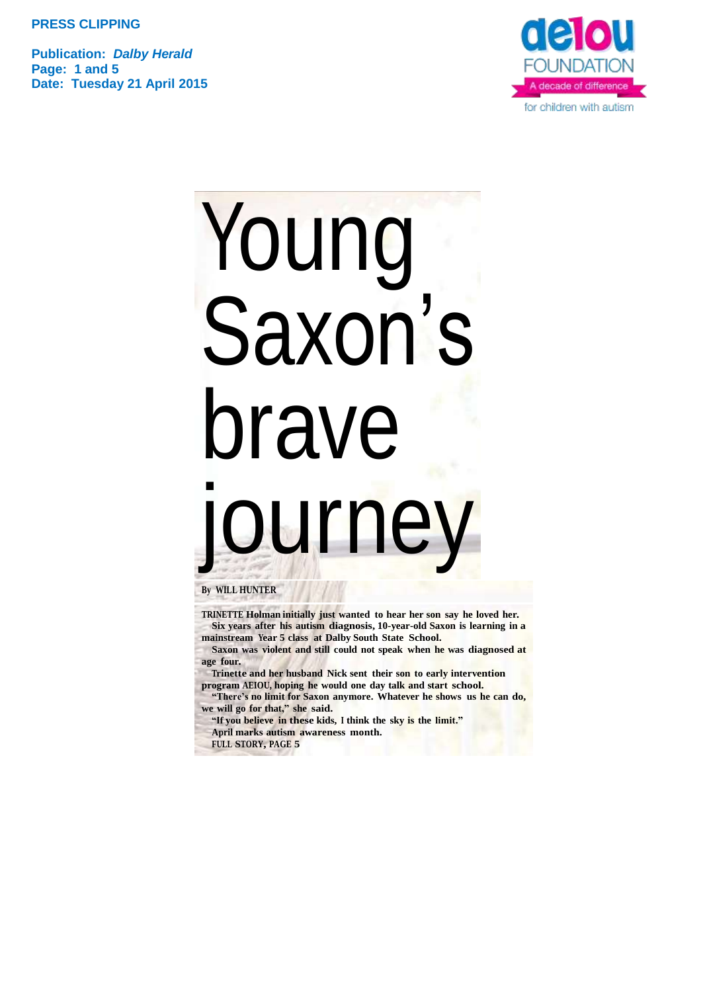**Publication:** *Dalby Herald* **Page: 1 and 5 Date: Tuesday 21 April 2015**



# Young Saxon's brave ourney

**By WILL HUNTER**

**TRINETTE Holman initially just wanted to hear her son say he loved her. Six years after his autism diagnosis, 10-year-old Saxon is learning in a mainstream Year 5 class at Dalby South State School.**

**Saxon was violent and still could not speak when he was diagnosed at age four.**

**Trinette and her husband Nick sent their son to early intervention program AEIOU, hoping he would one day talk and start school.**

**"There's no limit for Saxon anymore. Whatever he shows us he can do, we will go for that," she said.**

**"If you believe in these kids, <sup>I</sup> think the sky is the limit."** 

**April marks autism awareness month.**

**FULL STORY, PAGE 5**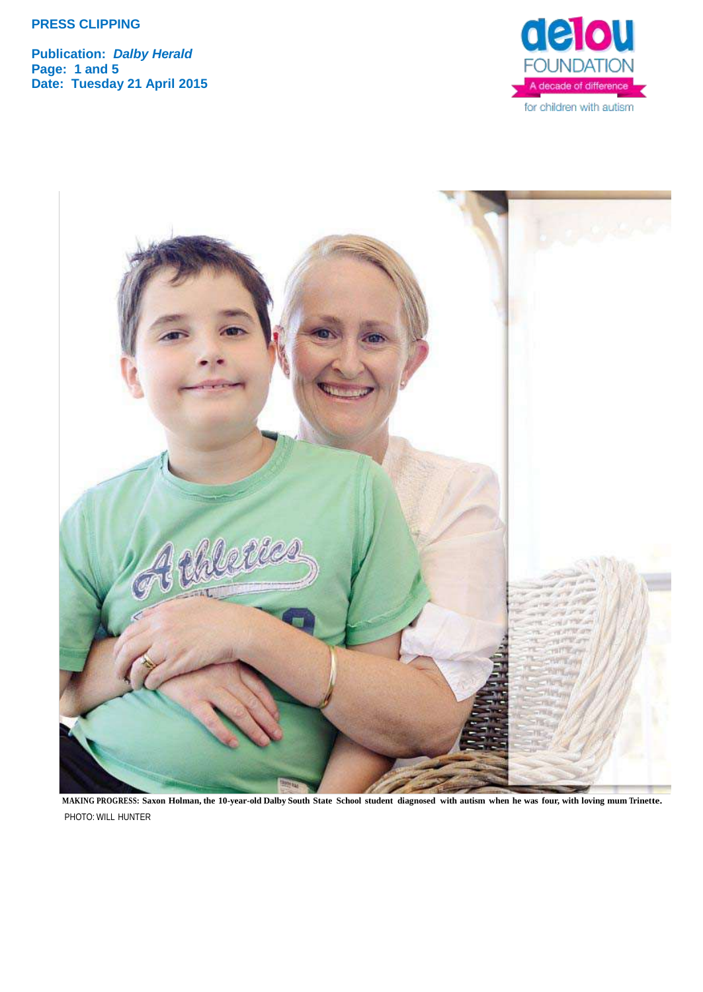**Publication:** *Dalby Herald* **Page: 1 and 5 Date: Tuesday 21 April 2015**





MAKING PROGRESS: Saxon Holman, the 10-year-old Dalby South State School student diagnosed with autism when he was four, with loving mum Trinette. PHOTO: WILL HUNTER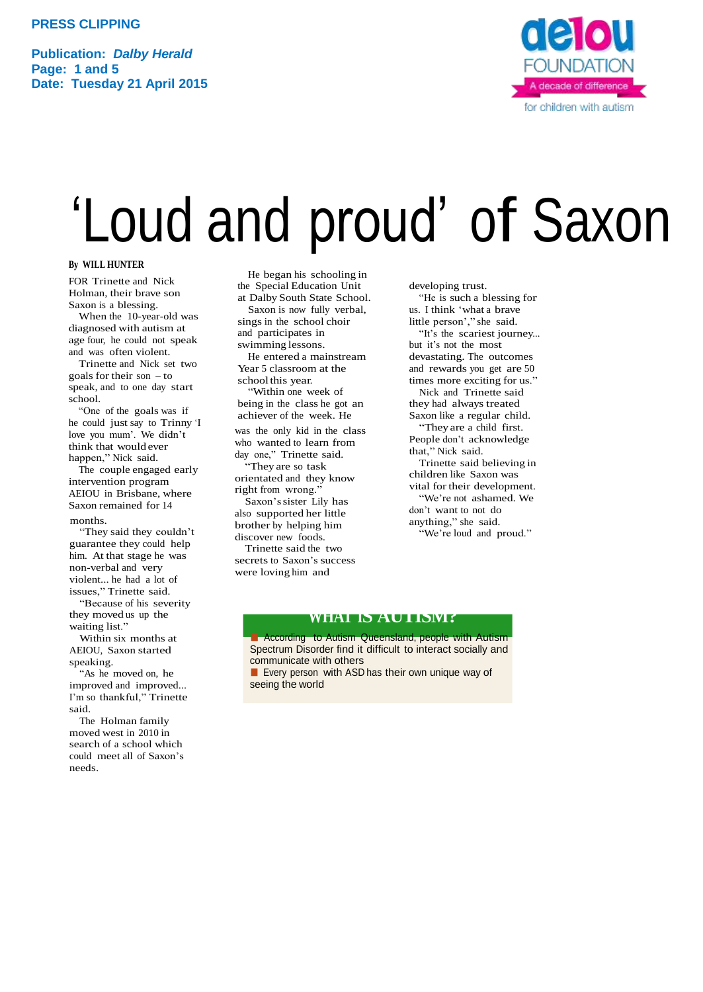**Publication:** *Dalby Herald* **Page: 1 and 5 Date: Tuesday 21 April 2015**



## 'Loud and proud' of Saxon

#### **By WILL HUNTER**

FOR Trinette and Nick Holman, their brave son Saxon is a blessing.

When the 10-year-old was diagnosed with autism at age four, he could not speak and was often violent.

Trinette and Nick set two goals for their son – to speak, and to one day start school.

"One of the goals was if he could just say to Trinny 'I love you mum'. We didn't think that wouldever happen," Nick said.

The couple engaged early intervention program AEIOU in Brisbane, where Saxon remained for 14 months.

"They said they couldn't guarantee they could help him. At that stage he was non-verbal and very violent... he had a lot of issues," Trinette said.

"Because of his severity they moved us up the waiting list."

Within six months at AEIOU, Saxon started speaking.

"As he moved on, he improved and improved... I'm so thankful," Trinette said.

The Holman family moved west in 2010 in search of a school which could meet all of Saxon's needs.

He began his schooling in the Special Education Unit at Dalby South State School.

Saxon is now fully verbal, sings in the school choir and participates in

swimming lessons. He entered a mainstream Year 5 classroom at the schoolthis year.

"Within one week of being in the class he got an achiever of the week. He was the only kid in the class who wanted to learn from

day one," Trinette said. "They are so task orientated and they know right from wrong.'

Saxon'ssister Lily has also supported her little brother by helping him discover new foods.

Trinette said the two secrets to Saxon's success were loving him and

developing trust. "He is such a blessing for us. I think 'what a brave little person'," she said. "It's the scariest journey... but it's not the most devastating. The outcomes and rewards you get are 50 times more exciting for us." Nick and Trinette said they had always treated Saxon like a regular child. "They are a child first. People don't acknowledge that," Nick said. Trinette said believing in children like Saxon was vital for their development. "We're not ashamed. We don't want to not do anything," she said. "We're loud and proud."

#### **WHAT IS AUTISM?**

**■ According to Autism Queensland, people with Autism** Spectrum Disorder find it difficult to interact socially and communicate with others

■ Every person with ASD has their own unique way of seeing the world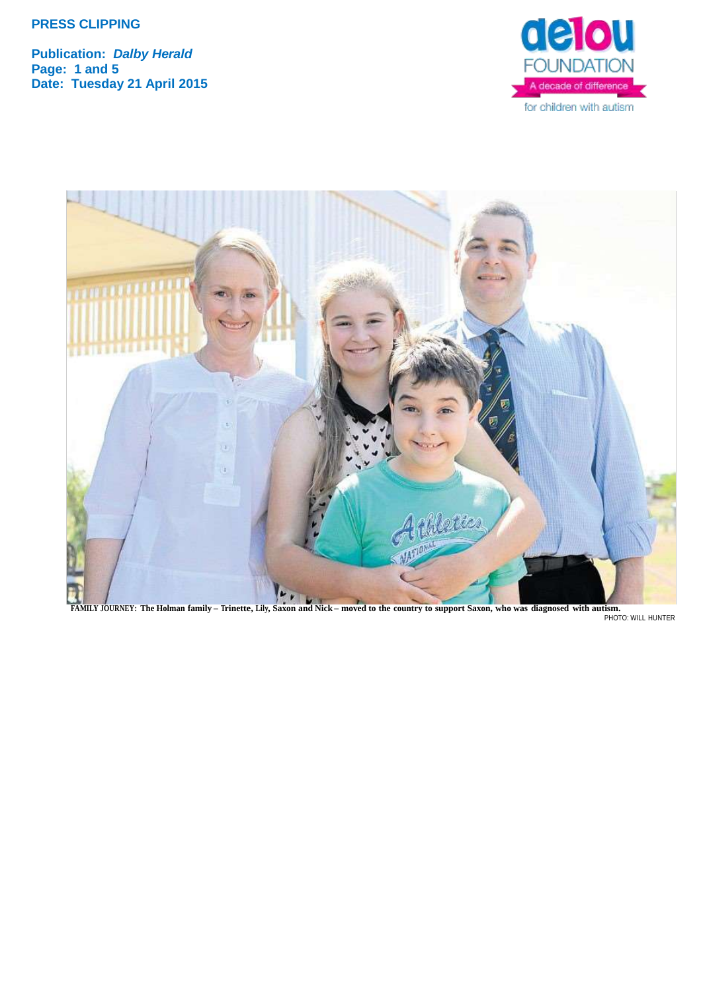**Publication:** *Dalby Herald* **Page: 1 and 5 Date: Tuesday 21 April 2015**





PHOTO: WILL HUNTER